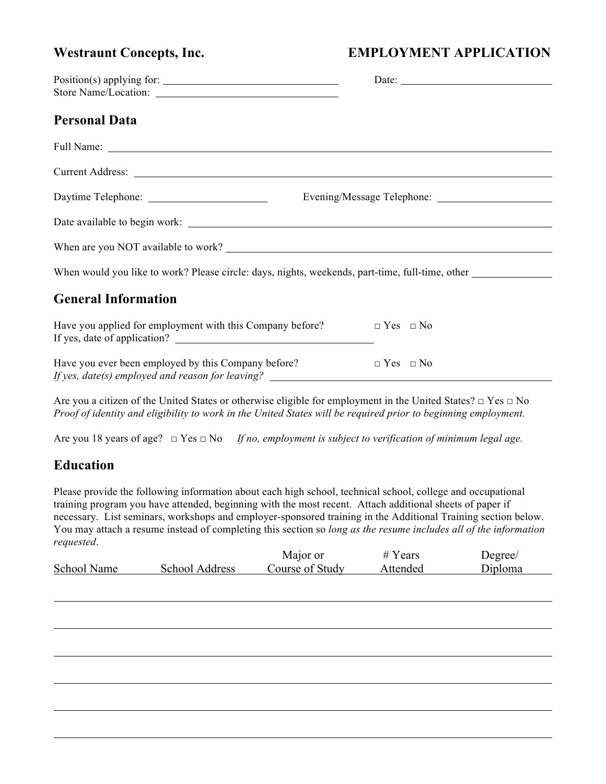# Westraunt Concepts, Inc. **EMPLOYMENT APPLICATION**

| Position(s) applying for: | Date: |  |
|---------------------------|-------|--|
| Store Name/Location:      |       |  |
|                           |       |  |

### **Personal Data**

| When are you NOT available to work?                                                                            |                      |
|----------------------------------------------------------------------------------------------------------------|----------------------|
| When would you like to work? Please circle: days, nights, weekends, part-time, full-time, other                |                      |
| <b>General Information</b>                                                                                     |                      |
| Have you applied for employment with this Company before? $\Box$ Yes $\Box$ No<br>If yes, date of application? |                      |
| Have you ever been employed by this Company before?                                                            | $\Box$ Yes $\Box$ No |

Are you a citizen of the United States or otherwise eligible for employment in the United States? □ Yes □ No *Proof of identity and eligibility to work in the United States will be required prior to beginning employment.*

Are you 18 years of age? □ Yes □ No *If no, employment is subject to verification of minimum legal age.*

## **Education**

Please provide the following information about each high school, technical school, college and occupational training program you have attended, beginning with the most recent. Attach additional sheets of paper if necessary. List seminars, workshops and employer-sponsored training in the Additional Training section below. You may attach a resume instead of completing this section so *long as the resume includes all of the information requested*.

|             |                | Major or        | $#$ Years | Degree/ |
|-------------|----------------|-----------------|-----------|---------|
| School Name | School Address | Course of Study | Attended  | Diploma |
|             |                |                 |           |         |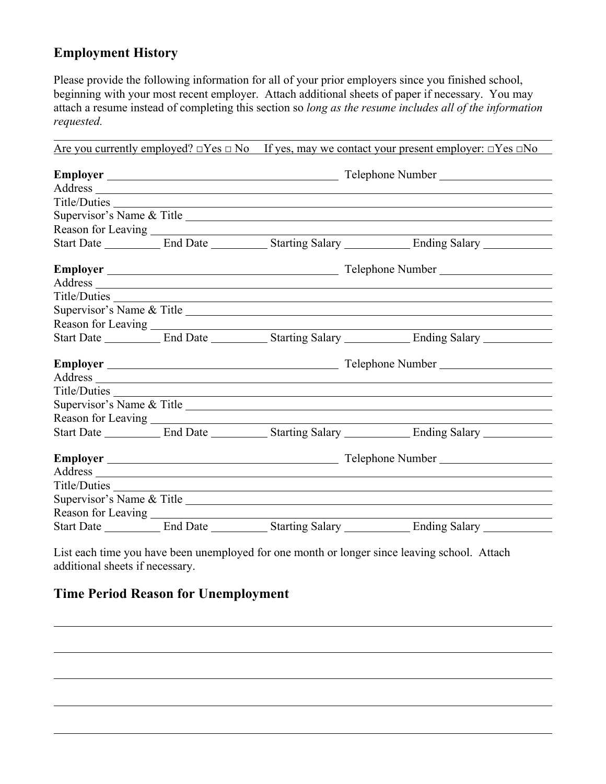# **Employment History**

Please provide the following information for all of your prior employers since you finished school, beginning with your most recent employer. Attach additional sheets of paper if necessary. You may attach a resume instead of completing this section so *long as the resume includes all of the information requested.*

|                                                                                                                        |  | Are you currently employed? $\Box$ Yes $\Box$ No If yes, may we contact your present employer: $\Box$ Yes $\Box$ No |                                                                                                      |  |
|------------------------------------------------------------------------------------------------------------------------|--|---------------------------------------------------------------------------------------------------------------------|------------------------------------------------------------------------------------------------------|--|
|                                                                                                                        |  | Telephone Number                                                                                                    |                                                                                                      |  |
|                                                                                                                        |  |                                                                                                                     |                                                                                                      |  |
|                                                                                                                        |  |                                                                                                                     |                                                                                                      |  |
|                                                                                                                        |  |                                                                                                                     |                                                                                                      |  |
|                                                                                                                        |  |                                                                                                                     |                                                                                                      |  |
|                                                                                                                        |  |                                                                                                                     | Start Date ____________ End Date ____________ Starting Salary _____________ Ending Salary __________ |  |
|                                                                                                                        |  |                                                                                                                     |                                                                                                      |  |
|                                                                                                                        |  |                                                                                                                     |                                                                                                      |  |
|                                                                                                                        |  |                                                                                                                     |                                                                                                      |  |
|                                                                                                                        |  |                                                                                                                     |                                                                                                      |  |
| Reason for Leaving $\frac{1}{\sqrt{1-\frac{1}{2}}}\left\{1-\frac{1}{2}, \frac{1}{2}, \frac{1}{2}, \frac{1}{2}\right\}$ |  |                                                                                                                     |                                                                                                      |  |
|                                                                                                                        |  |                                                                                                                     | Start Date ____________ End Date ____________ Starting Salary _____________ Ending Salary __________ |  |
|                                                                                                                        |  |                                                                                                                     |                                                                                                      |  |
|                                                                                                                        |  |                                                                                                                     |                                                                                                      |  |
|                                                                                                                        |  |                                                                                                                     |                                                                                                      |  |
|                                                                                                                        |  |                                                                                                                     | Supervisor's Name & Title                                                                            |  |
| Reason for Leaving                                                                                                     |  |                                                                                                                     |                                                                                                      |  |
|                                                                                                                        |  |                                                                                                                     | Start Date ____________ End Date ____________ Starting Salary _____________ Ending Salary _________  |  |
|                                                                                                                        |  |                                                                                                                     |                                                                                                      |  |
|                                                                                                                        |  |                                                                                                                     |                                                                                                      |  |
| Title/Duties                                                                                                           |  |                                                                                                                     |                                                                                                      |  |
|                                                                                                                        |  |                                                                                                                     | Supervisor's Name & Title                                                                            |  |
| Reason for Leaving                                                                                                     |  |                                                                                                                     |                                                                                                      |  |
|                                                                                                                        |  |                                                                                                                     | Start Date ____________ End Date ____________ Starting Salary _____________ Ending Salary __________ |  |

List each time you have been unemployed for one month or longer since leaving school. Attach additional sheets if necessary.

# **Time Period Reason for Unemployment**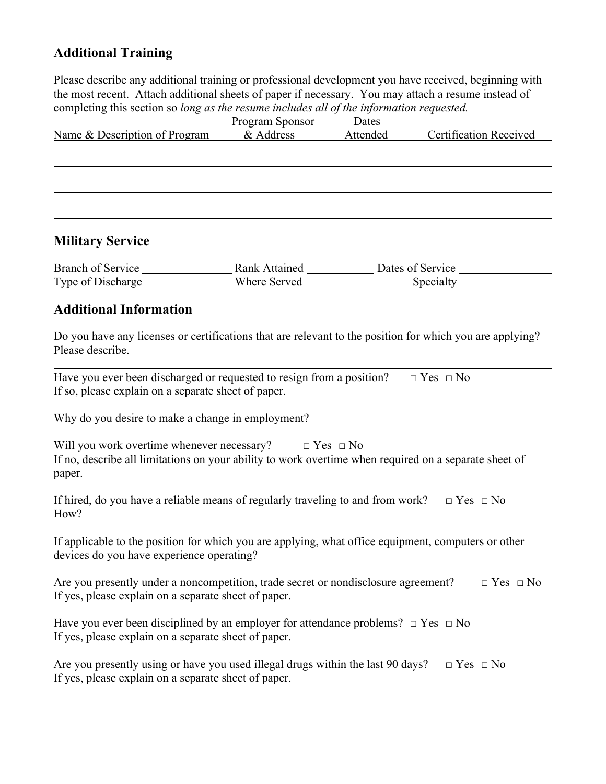# **Additional Training**

Please describe any additional training or professional development you have received, beginning with the most recent. Attach additional sheets of paper if necessary. You may attach a resume instead of completing this section so *long as the resume includes all of the information requested.*

| completing this section so long as the resume includes all of the information requested.                                                                                           | Program Sponsor | Dates    |                               |
|------------------------------------------------------------------------------------------------------------------------------------------------------------------------------------|-----------------|----------|-------------------------------|
| Name & Description of Program & Address                                                                                                                                            |                 | Attended | <b>Certification Received</b> |
|                                                                                                                                                                                    |                 |          |                               |
|                                                                                                                                                                                    |                 |          |                               |
| <b>Military Service</b>                                                                                                                                                            |                 |          |                               |
|                                                                                                                                                                                    |                 |          |                               |
| <b>Additional Information</b>                                                                                                                                                      |                 |          |                               |
| Do you have any licenses or certifications that are relevant to the position for which you are applying?<br>Please describe.                                                       |                 |          |                               |
| Have you ever been discharged or requested to resign from a position? $\Box$ Yes $\Box$ No<br>If so, please explain on a separate sheet of paper.                                  |                 |          |                               |
| Why do you desire to make a change in employment?                                                                                                                                  |                 |          |                               |
| Will you work overtime whenever necessary? $\Box$ Yes $\Box$ No<br>If no, describe all limitations on your ability to work overtime when required on a separate sheet of<br>paper. |                 |          |                               |
| If hired, do you have a reliable means of regularly traveling to and from work? $\Box$ Yes $\Box$ No<br>How?                                                                       |                 |          |                               |
| If applicable to the position for which you are applying, what office equipment, computers or other<br>devices do you have experience operating?                                   |                 |          |                               |
| Are you presently under a noncompetition, trade secret or nondisclosure agreement?<br>If yes, please explain on a separate sheet of paper.                                         |                 |          | $\Box$ Yes $\Box$ No          |
| Have you ever been disciplined by an employer for attendance problems? $\Box$ Yes $\Box$ No<br>If yes, please explain on a separate sheet of paper.                                |                 |          |                               |
| Are you presently using or have you used illegal drugs within the last 90 days?<br>If yes, please explain on a separate sheet of paper.                                            |                 |          | $\Box$ Yes $\Box$ No          |